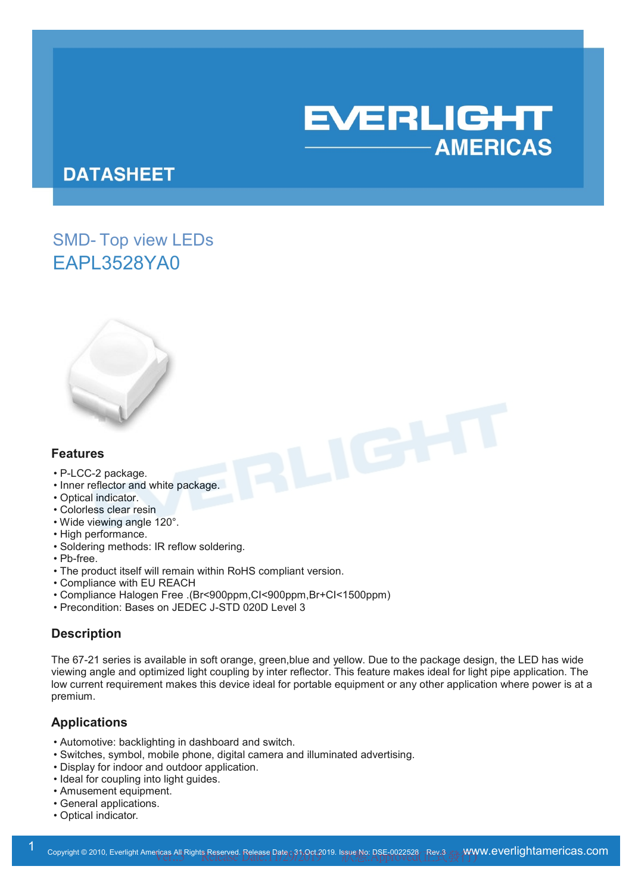

# **DATASHEET**

# SMD- Top view LEDs EAPL3528YA0



#### **Features**

- P-LCC-2 package.
- Inner reflector and white package.
- Optical indicator.
- Colorless clear resin
- Wide viewing angle 120°.
- High performance.
- Soldering methods: IR reflow soldering.
- Pb-free.
- The product itself will remain within RoHS compliant version.
- Compliance with EU REACH
- Compliance Halogen Free .(Br<900ppm,CI<900ppm,Br+CI<1500ppm)
- Precondition: Bases on JEDEC J-STD 020D Level 3

### **Description**

The 67-21 series is available in soft orange, green,blue and yellow. Due to the package design, the LED has wide viewing angle and optimized light coupling by inter reflector. This feature makes ideal for light pipe application. The low current requirement makes this device ideal for portable equipment or any other application where power is at a premium.

#### **Applications**

- Automotive: backlighting in dashboard and switch.
- Switches, symbol, mobile phone, digital camera and illuminated advertising.
- Display for indoor and outdoor application.
- Ideal for coupling into light guides.
- Amusement equipment.
- General applications.
- Optical indicator.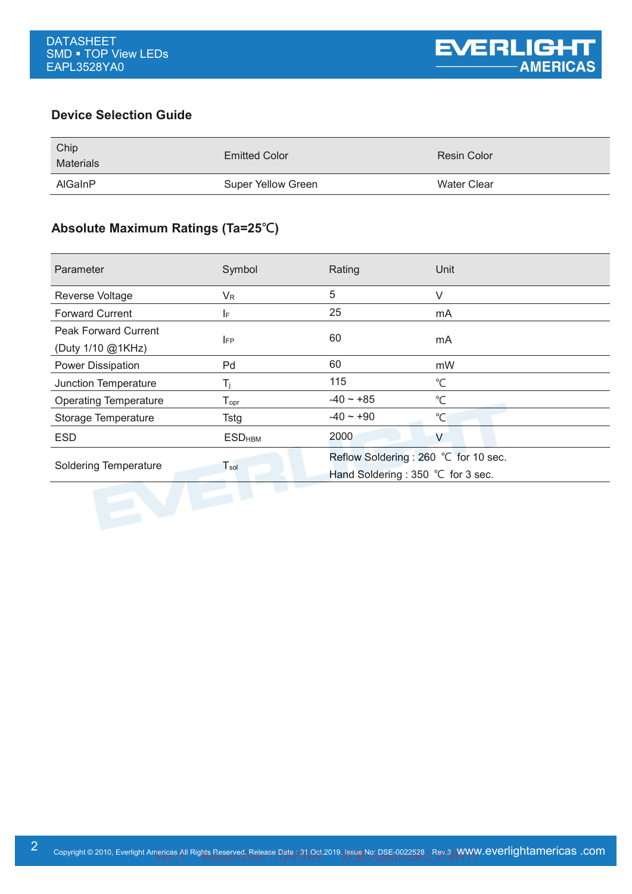### **Device Selection Guide**

| Chip<br><b>Materials</b> | <b>Emitted Color</b> | Resin Color |
|--------------------------|----------------------|-------------|
| <b>AlGaInP</b>           | Super Yellow Green   | Water Clear |

# **Absolute Maximum Ratings (Ta=25℃)**

| Parameter                                        | Symbol                       | Rating                                                                     | Unit         |
|--------------------------------------------------|------------------------------|----------------------------------------------------------------------------|--------------|
| Reverse Voltage                                  | $V_{R}$                      | 5                                                                          | V            |
| <b>Forward Current</b>                           | IF.                          | 25                                                                         | mA           |
| <b>Peak Forward Current</b><br>(Duty 1/10 @1KHz) | <b>IFP</b>                   | 60                                                                         | mA           |
| Power Dissipation                                | Pd                           | 60                                                                         | mW           |
| Junction Temperature                             | $T_i$                        | 115                                                                        | $^{\circ}$ C |
| <b>Operating Temperature</b>                     | ${\mathsf T}_{\mathsf{opr}}$ | $-40 \sim +85$                                                             | $^{\circ}$ C |
| Storage Temperature                              | Tstg                         | $-40 - +90$                                                                | $^{\circ}$ C |
| <b>ESD</b>                                       | <b>ESD<sub>HBM</sub></b>     | 2000                                                                       | V            |
| Soldering Temperature                            | $T_{sol}$                    | Reflow Soldering: 260 °C for 10 sec.<br>Hand Soldering : 350 °C for 3 sec. |              |
|                                                  |                              |                                                                            |              |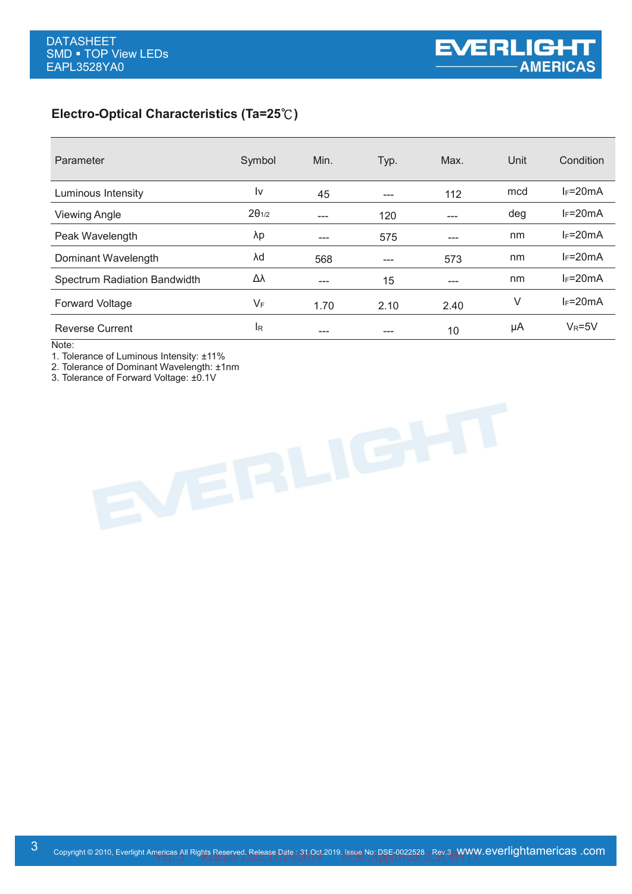# **Electro-Optical Characteristics (Ta=25**℃**)**

| Parameter                    | Symbol          | Min.    | Typ.  | Max. | Unit | Condition    |
|------------------------------|-----------------|---------|-------|------|------|--------------|
| Luminous Intensity           | I٧              | 45      | $---$ | 112  | mcd  | $I_F = 20mA$ |
| <b>Viewing Angle</b>         | $2\theta_{1/2}$ | $- - -$ | 120   | ---  | deg  | $I_F = 20mA$ |
| Peak Wavelength              | λp              | ---     | 575   | ---  | nm   | $I_F = 20mA$ |
| Dominant Wavelength          | λd              | 568     | ---   | 573  | nm   | $I_F = 20mA$ |
| Spectrum Radiation Bandwidth | Δλ              | ---     | 15    | ---  | nm   | $I_F = 20mA$ |
| <b>Forward Voltage</b>       | $V_F$           | 1.70    | 2.10  | 2.40 | V    | $I_F = 20mA$ |
| <b>Reverse Current</b>       | <b>I</b> R      | ---     |       | 10   | μA   | $V_R = 5V$   |

Note:

1. Tolerance of Luminous Intensity: ±11%

2. Tolerance of Dominant Wavelength: ±1nm

3. Tolerance of Forward Voltage: ±0.1V

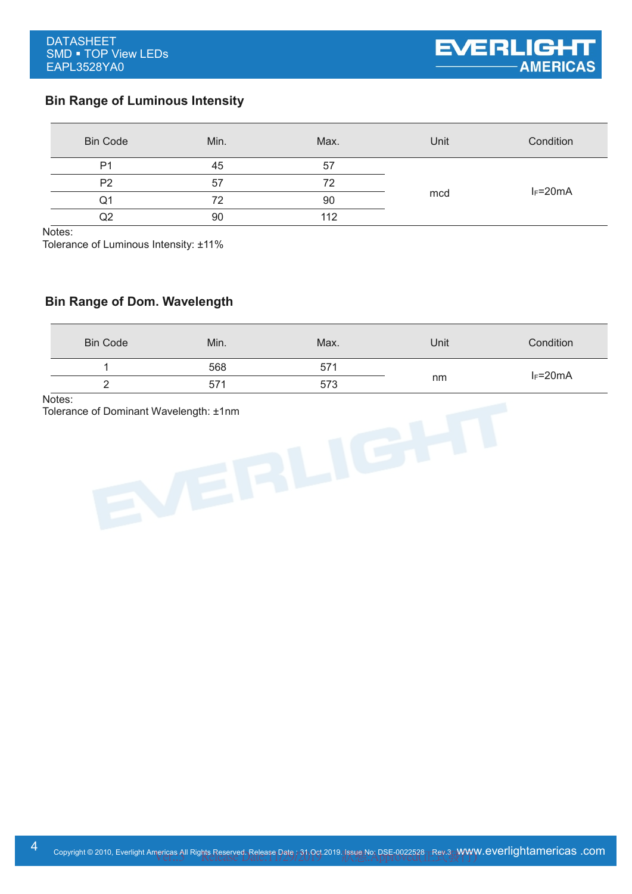# **Bin Range of Luminous Intensity**

| <b>Bin Code</b> | Min. | Max. | Unit | Condition    |
|-----------------|------|------|------|--------------|
| P <sub>1</sub>  | 45   | 57   | mcd  |              |
| P <sub>2</sub>  | 57   | 72   |      | $I_F = 20mA$ |
| Q1              | 72   | 90   |      |              |
| Q2              | 90   | 112  |      |              |

Notes:

Tolerance of Luminous Intensity: ±11%

## **Bin Range of Dom. Wavelength**

| <b>Bin Code</b> | Min.            | Max. | Unit | Condition    |
|-----------------|-----------------|------|------|--------------|
|                 | 568             | 571  |      | $I_F = 20mA$ |
|                 | 57 <sup>4</sup> | 573  | nm   |              |

Notes:

Tolerance of Dominant Wavelength: ±1nm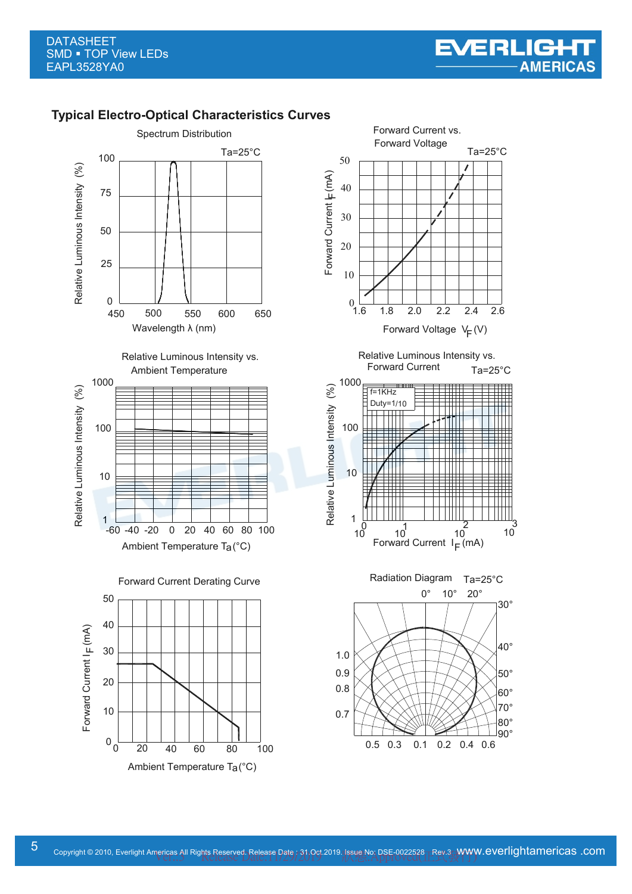### **Typical Electro-Optical Characteristics Curves**



Ambient Temperature Ta(°C)

20 40 60 80 100

 $^0$  0

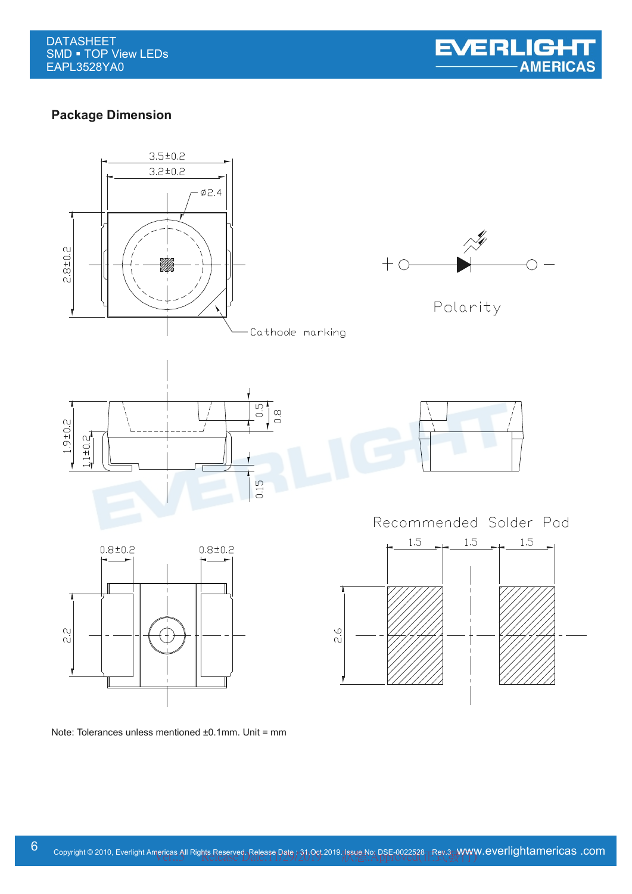

## **Package Dimension**



Note: Tolerances unless mentioned ±0.1mm. Unit = mm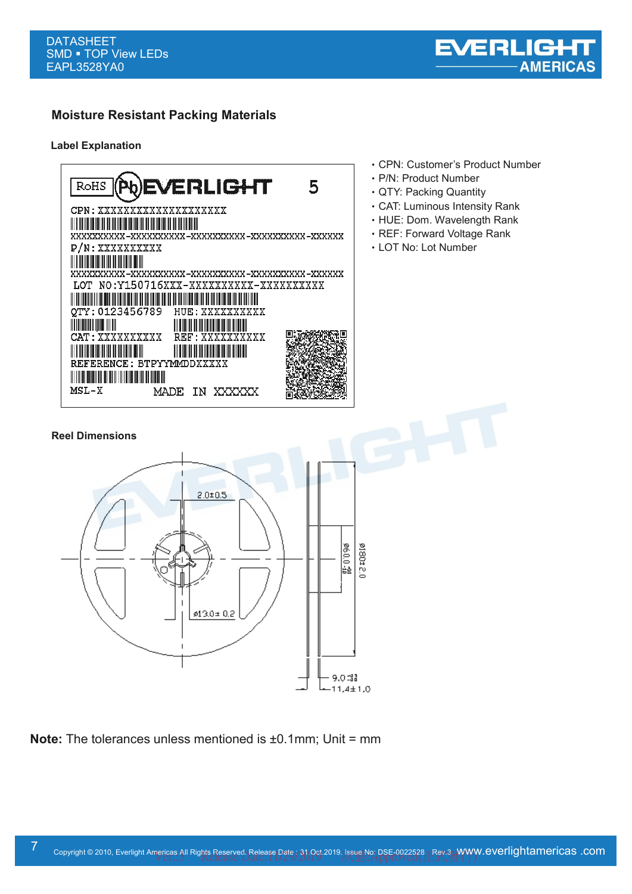

# **Moisture Resistant Packing Materials**

#### **Label Explanation**



- ‧CPN: Customer's Product Number
- ‧P/N: Product Number
- ‧QTY: Packing Quantity
- ‧CAT: Luminous Intensity Rank
- ‧HUE: Dom. Wavelength Rank
- ‧REF: Forward Voltage Rank
- ‧LOT No: Lot Number



**Note:** The tolerances unless mentioned is ±0.1mm; Unit = mm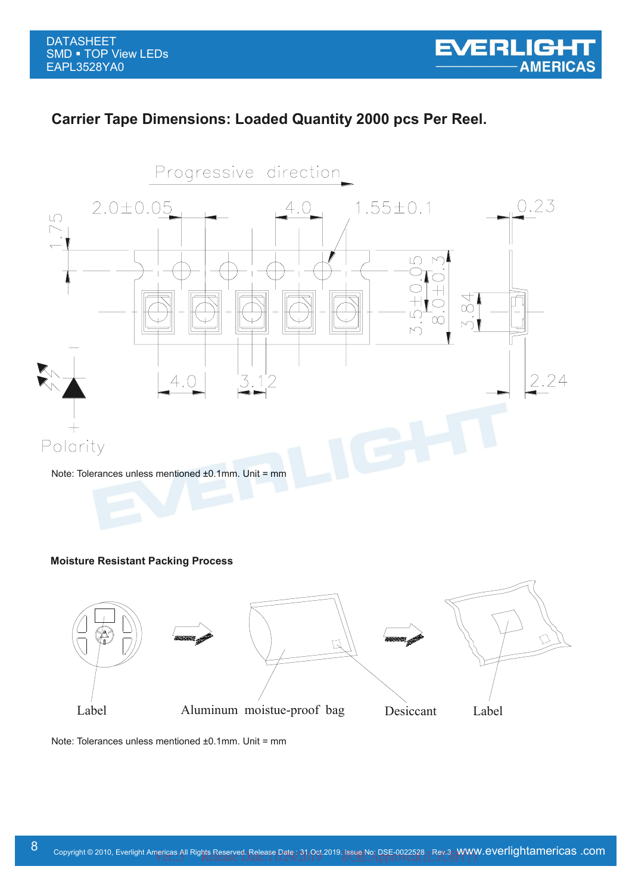# **Carrier Tape Dimensions: Loaded Quantity 2000 pcs Per Reel.**



#### **Moisture Resistant Packing Process**



Note: Tolerances unless mentioned ±0.1mm. Unit = mm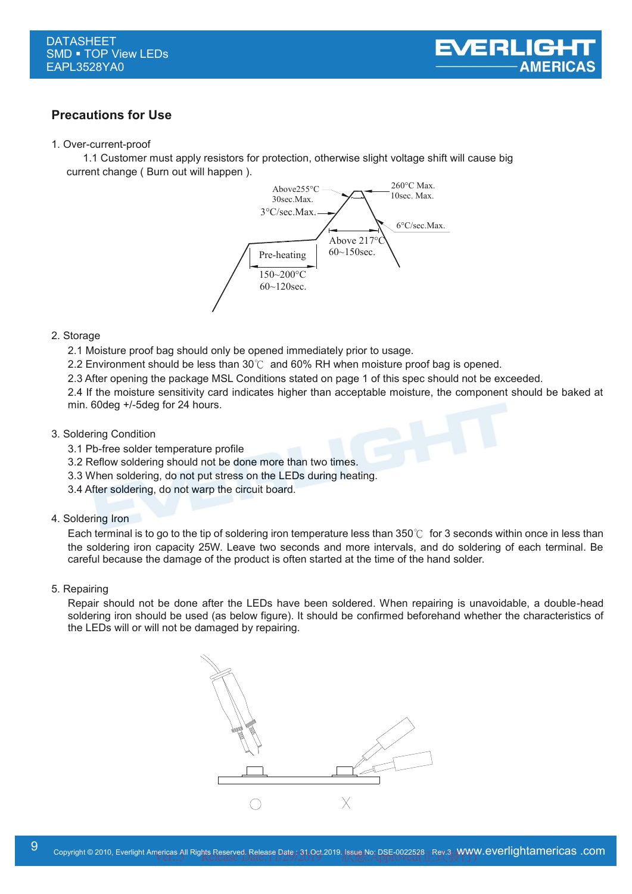

### **Precautions for Use**

#### 1. Over-current-proof

1.1 Customer must apply resistors for protection, otherwise slight voltage shift will cause big current change ( Burn out will happen ).



#### 2. Storage

- 2.1 Moisture proof bag should only be opened immediately prior to usage.
- 2.2 Environment should be less than  $30^{\circ}$  and 60% RH when moisture proof bag is opened.
- 2.3 After opening the package MSL Conditions stated on page 1 of this spec should not be exceeded.

2.4 If the moisture sensitivity card indicates higher than acceptable moisture, the component should be baked at min. 60deg +/-5deg for 24 hours.

#### 3. Soldering Condition

- 3.1 Pb-free solder temperature profile
- 3.2 Reflow soldering should not be done more than two times.
- 3.3 When soldering, do not put stress on the LEDs during heating.
- 3.4 After soldering, do not warp the circuit board.

#### 4. Soldering Iron

Each terminal is to go to the tip of soldering iron temperature less than 350℃ for 3 seconds within once in less than the soldering iron capacity 25W. Leave two seconds and more intervals, and do soldering of each terminal. Be careful because the damage of the product is often started at the time of the hand solder.

#### 5. Repairing

Repair should not be done after the LEDs have been soldered. When repairing is unavoidable, a double-head soldering iron should be used (as below figure). It should be confirmed beforehand whether the characteristics of the LEDs will or will not be damaged by repairing.